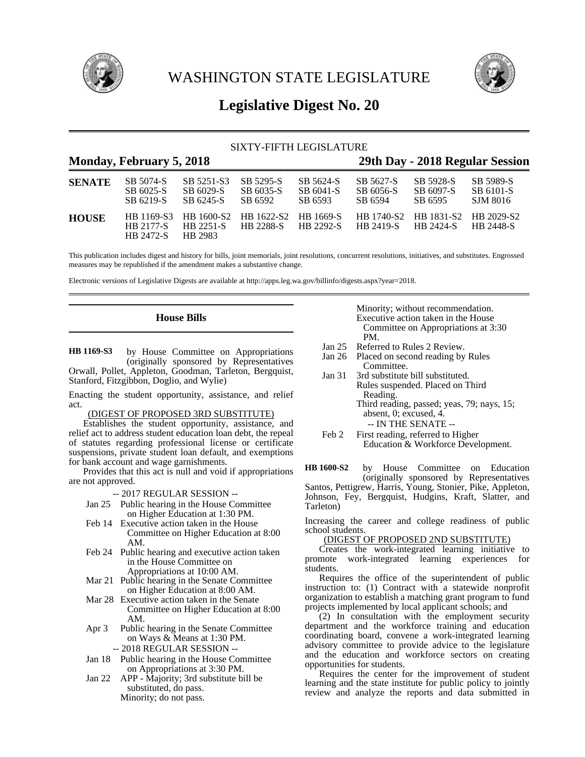

WASHINGTON STATE LEGISLATURE



# **Legislative Digest No. 20**

## SIXTY-FIFTH LEGISLATURE

## **Monday, February 5, 2018 29th Day - 2018 Regular Session**

| <b>SENATE</b> | SB 5074-S              | SB 5251-S3                                                         | SB 5295-S        | SB 5624-S | SB 5627-S | SB 5928-S                                     | SB 5989-S        |
|---------------|------------------------|--------------------------------------------------------------------|------------------|-----------|-----------|-----------------------------------------------|------------------|
|               | SB 6025-S              | SB 6029-S                                                          | SB 6035-S        | SB 6041-S | SB 6056-S | SB 6097-S                                     | SB 6101-S        |
|               | SB 6219-S              | SB 6245-S                                                          | SB 6592          | SB 6593   | SB 6594   | SB 6595                                       | SJM 8016         |
| <b>HOUSE</b>  | HB 2177-S<br>HB 2472-S | HB 1169-S3 HB 1600-S2 HB 1622-S2 HB 1669-S<br>HB 2251-S<br>HR 2983 | <b>HR 2288-S</b> | HB 2292-S | HB 2419-S | HB 1740-S2 HB 1831-S2 HB 2029-S2<br>HB 2424-S | <b>HR 2448-S</b> |

This publication includes digest and history for bills, joint memorials, joint resolutions, concurrent resolutions, initiatives, and substitutes. Engrossed measures may be republished if the amendment makes a substantive change.

Electronic versions of Legislative Digests are available at http://apps.leg.wa.gov/billinfo/digests.aspx?year=2018.

## **House Bills**

by House Committee on Appropriations (originally sponsored by Representatives Orwall, Pollet, Appleton, Goodman, Tarleton, Bergquist, Stanford, Fitzgibbon, Doglio, and Wylie) **HB 1169-S3**

Enacting the student opportunity, assistance, and relief act.

## (DIGEST OF PROPOSED 3RD SUBSTITUTE)

Establishes the student opportunity, assistance, and relief act to address student education loan debt, the repeal of statutes regarding professional license or certificate suspensions, private student loan default, and exemptions for bank account and wage garnishments.

Provides that this act is null and void if appropriations are not approved.

-- 2017 REGULAR SESSION --

- Jan 25 Public hearing in the House Committee on Higher Education at 1:30 PM.
- Feb 14 Executive action taken in the House Committee on Higher Education at 8:00 AM.
- Feb 24 Public hearing and executive action taken in the House Committee on Appropriations at 10:00 AM.
- Mar 21 Public hearing in the Senate Committee on Higher Education at 8:00 AM.
- Mar 28 Executive action taken in the Senate Committee on Higher Education at 8:00 AM.
- Apr 3 Public hearing in the Senate Committee on Ways & Means at 1:30 PM. -- 2018 REGULAR SESSION --
- Jan 18 Public hearing in the House Committee on Appropriations at 3:30 PM.
- Jan 22 APP Majority; 3rd substitute bill be substituted, do pass. Minority; do not pass.

#### Minority; without recommendation. Executive action taken in the House Committee on Appropriations at 3:30 PM.

- Jan 25 Referred to Rules 2 Review.<br>Jan 26 Placed on second reading by
- Placed on second reading by Rules Committee.
- Jan 31 3rd substitute bill substituted. Rules suspended. Placed on Third Reading. Third reading, passed; yeas, 79; nays, 15; absent, 0; excused, 4. -- IN THE SENATE --

by House Committee on Education (originally sponsored by Representatives Santos, Pettigrew, Harris, Young, Stonier, Pike, Appleton, Johnson, Fey, Bergquist, Hudgins, Kraft, Slatter, and Tarleton) **HB 1600-S2**

Increasing the career and college readiness of public school students.

### (DIGEST OF PROPOSED 2ND SUBSTITUTE)

Creates the work-integrated learning initiative to promote work-integrated learning experiences for students.

Requires the office of the superintendent of public instruction to: (1) Contract with a statewide nonprofit organization to establish a matching grant program to fund projects implemented by local applicant schools; and

(2) In consultation with the employment security department and the workforce training and education coordinating board, convene a work-integrated learning advisory committee to provide advice to the legislature and the education and workforce sectors on creating opportunities for students.

Requires the center for the improvement of student learning and the state institute for public policy to jointly review and analyze the reports and data submitted in

Feb 2 First reading, referred to Higher Education & Workforce Development.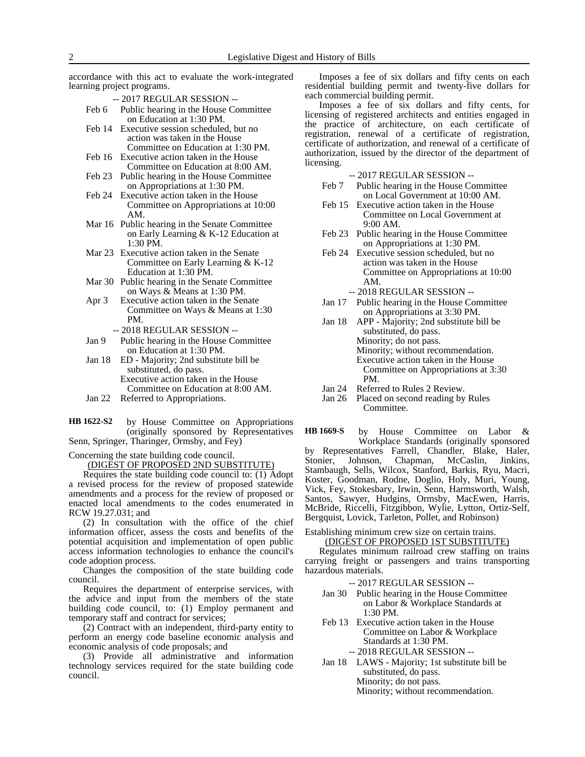accordance with this act to evaluate the work-integrated learning project programs.

-- 2017 REGULAR SESSION --

- Feb 6 Public hearing in the House Committee on Education at 1:30 PM.
- Feb 14 Executive session scheduled, but no action was taken in the House Committee on Education at 1:30 PM.
- Feb 16 Executive action taken in the House Committee on Education at 8:00 AM.
- Feb 23 Public hearing in the House Committee on Appropriations at 1:30 PM.
- Feb 24 Executive action taken in the House Committee on Appropriations at 10:00 AM.
- Mar 16 Public hearing in the Senate Committee on Early Learning & K-12 Education at 1:30 PM.
- Mar 23 Executive action taken in the Senate Committee on Early Learning & K-12 Education at 1:30 PM.
- Mar 30 Public hearing in the Senate Committee on Ways & Means at 1:30 PM.
- Apr 3 Executive action taken in the Senate Committee on Ways & Means at 1:30 PM.
	- -- 2018 REGULAR SESSION --
- Jan 9 Public hearing in the House Committee on Education at 1:30 PM.
- Jan 18 ED Majority; 2nd substitute bill be substituted, do pass. Executive action taken in the House Committee on Education at 8:00 AM.
- Jan 22 Referred to Appropriations.
- by House Committee on Appropriations (originally sponsored by Representatives Senn, Springer, Tharinger, Ormsby, and Fey) **HB 1622-S2**

Concerning the state building code council.

(DIGEST OF PROPOSED 2ND SUBSTITUTE)

Requires the state building code council to: (1) Adopt a revised process for the review of proposed statewide amendments and a process for the review of proposed or enacted local amendments to the codes enumerated in RCW 19.27.031; and

(2) In consultation with the office of the chief information officer, assess the costs and benefits of the potential acquisition and implementation of open public access information technologies to enhance the council's code adoption process.

Changes the composition of the state building code council.

Requires the department of enterprise services, with the advice and input from the members of the state building code council, to: (1) Employ permanent and temporary staff and contract for services;

(2) Contract with an independent, third-party entity to perform an energy code baseline economic analysis and economic analysis of code proposals; and

(3) Provide all administrative and information technology services required for the state building code council.

Imposes a fee of six dollars and fifty cents on each residential building permit and twenty-five dollars for each commercial building permit.

Imposes a fee of six dollars and fifty cents, for licensing of registered architects and entities engaged in the practice of architecture, on each certificate of registration, renewal of a certificate of registration, certificate of authorization, and renewal of a certificate of authorization, issued by the director of the department of licensing.

-- 2017 REGULAR SESSION --

- Feb 7 Public hearing in the House Committee on Local Government at 10:00 AM.
- Feb 15 Executive action taken in the House Committee on Local Government at 9:00 AM.
- Feb 23 Public hearing in the House Committee on Appropriations at 1:30 PM.
- Feb 24 Executive session scheduled, but no action was taken in the House Committee on Appropriations at 10:00 AM.

-- 2018 REGULAR SESSION --

- Jan 17 Public hearing in the House Committee on Appropriations at 3:30 PM.
- Jan 18 APP Majority; 2nd substitute bill be substituted, do pass. Minority; do not pass. Minority; without recommendation. Executive action taken in the House Committee on Appropriations at 3:30 PM.
- Jan 24 Referred to Rules 2 Review.<br>Jan 26 Placed on second reading by
- Placed on second reading by Rules Committee.

by House Committee on Labor & Workplace Standards (originally sponsored by Representatives Farrell, Chandler, Blake, Haler, Stonier, Johnson, Chapman, McCaslin, Jinkins, Stambaugh, Sells, Wilcox, Stanford, Barkis, Ryu, Macri, Koster, Goodman, Rodne, Doglio, Holy, Muri, Young, Vick, Fey, Stokesbary, Irwin, Senn, Harmsworth, Walsh, Santos, Sawyer, Hudgins, Ormsby, MacEwen, Harris, McBride, Riccelli, Fitzgibbon, Wylie, Lytton, Ortiz-Self, Bergquist, Lovick, Tarleton, Pollet, and Robinson) **HB 1669-S**

Establishing minimum crew size on certain trains.

#### (DIGEST OF PROPOSED 1ST SUBSTITUTE)

Regulates minimum railroad crew staffing on trains carrying freight or passengers and trains transporting hazardous materials.

### -- 2017 REGULAR SESSION --

- Jan 30 Public hearing in the House Committee on Labor & Workplace Standards at 1:30 PM.
- Feb 13 Executive action taken in the House Committee on Labor & Workplace Standards at 1:30 PM. -- 2018 REGULAR SESSION --
- Jan 18 LAWS Majority; 1st substitute bill be substituted, do pass. Minority; do not pass. Minority; without recommendation.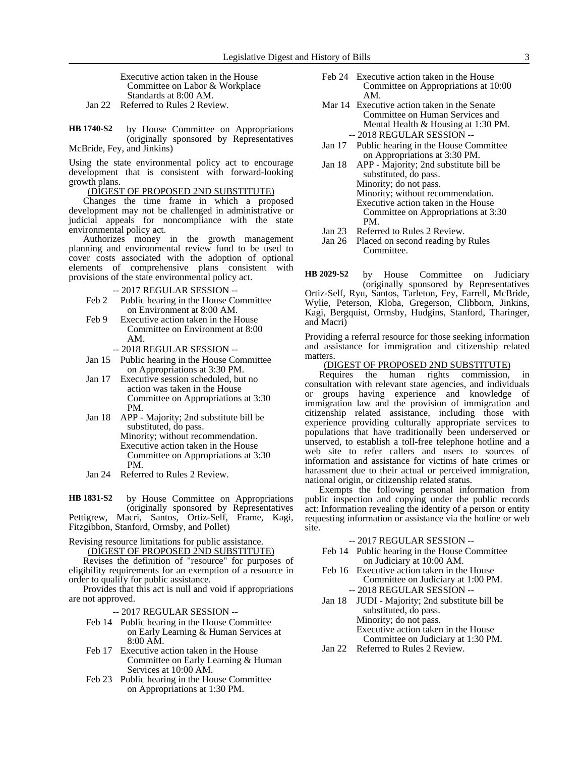Executive action taken in the House Committee on Labor & Workplace Standards at 8:00 AM.

Jan 22 Referred to Rules 2 Review.

by House Committee on Appropriations (originally sponsored by Representatives McBride, Fey, and Jinkins) **HB 1740-S2**

Using the state environmental policy act to encourage development that is consistent with forward-looking growth plans.

(DIGEST OF PROPOSED 2ND SUBSTITUTE)

Changes the time frame in which a proposed development may not be challenged in administrative or judicial appeals for noncompliance with the state environmental policy act.

Authorizes money in the growth management planning and environmental review fund to be used to cover costs associated with the adoption of optional elements of comprehensive plans consistent with provisions of the state environmental policy act.

-- 2017 REGULAR SESSION --

- Feb 2 Public hearing in the House Committee on Environment at 8:00 AM.
- Feb 9 Executive action taken in the House Committee on Environment at 8:00 AM.
	- -- 2018 REGULAR SESSION --
- Jan 15 Public hearing in the House Committee on Appropriations at 3:30 PM.
- Jan 17 Executive session scheduled, but no action was taken in the House Committee on Appropriations at 3:30 PM.
- Jan 18 APP Majority; 2nd substitute bill be substituted, do pass.
	- Minority; without recommendation. Executive action taken in the House Committee on Appropriations at 3:30 PM.
- Jan 24 Referred to Rules 2 Review.

by House Committee on Appropriations (originally sponsored by Representatives Pettigrew, Macri, Santos, Ortiz-Self, Frame, Kagi, Fitzgibbon, Stanford, Ormsby, and Pollet) **HB 1831-S2**

Revising resource limitations for public assistance. (DIGEST OF PROPOSED 2ND SUBSTITUTE)

Revises the definition of "resource" for purposes of eligibility requirements for an exemption of a resource in order to qualify for public assistance.

Provides that this act is null and void if appropriations are not approved.

- -- 2017 REGULAR SESSION --
- Feb 14 Public hearing in the House Committee on Early Learning & Human Services at 8:00 AM.
- Feb 17 Executive action taken in the House Committee on Early Learning & Human Services at 10:00 AM.
- Feb 23 Public hearing in the House Committee on Appropriations at 1:30 PM.
- Feb 24 Executive action taken in the House Committee on Appropriations at 10:00 AM.
- Mar 14 Executive action taken in the Senate Committee on Human Services and Mental Health & Housing at 1:30 PM. -- 2018 REGULAR SESSION --
- Jan 17 Public hearing in the House Committee on Appropriations at 3:30 PM.
- Jan 18 APP Majority; 2nd substitute bill be substituted, do pass. Minority; do not pass. Minority; without recommendation. Executive action taken in the House Committee on Appropriations at 3:30 PM.
- Jan 23 Referred to Rules 2 Review.
- Jan 26 Placed on second reading by Rules Committee.

by House Committee on Judiciary (originally sponsored by Representatives Ortiz-Self, Ryu, Santos, Tarleton, Fey, Farrell, McBride, Wylie, Peterson, Kloba, Gregerson, Clibborn, Jinkins, Kagi, Bergquist, Ormsby, Hudgins, Stanford, Tharinger, and Macri) **HB 2029-S2**

Providing a referral resource for those seeking information and assistance for immigration and citizenship related matters.

### (DIGEST OF PROPOSED 2ND SUBSTITUTE)

Requires the human rights commission, in consultation with relevant state agencies, and individuals or groups having experience and knowledge of immigration law and the provision of immigration and citizenship related assistance, including those with experience providing culturally appropriate services to populations that have traditionally been underserved or unserved, to establish a toll-free telephone hotline and a web site to refer callers and users to sources of information and assistance for victims of hate crimes or harassment due to their actual or perceived immigration, national origin, or citizenship related status.

Exempts the following personal information from public inspection and copying under the public records act: Information revealing the identity of a person or entity requesting information or assistance via the hotline or web site.

### -- 2017 REGULAR SESSION --

- Feb 14 Public hearing in the House Committee on Judiciary at 10:00 AM.
- Feb 16 Executive action taken in the House Committee on Judiciary at 1:00 PM. -- 2018 REGULAR SESSION --
- Jan 18 JUDI Majority; 2nd substitute bill be substituted, do pass. Minority; do not pass. Executive action taken in the House Committee on Judiciary at 1:30 PM.
- Jan 22 Referred to Rules 2 Review.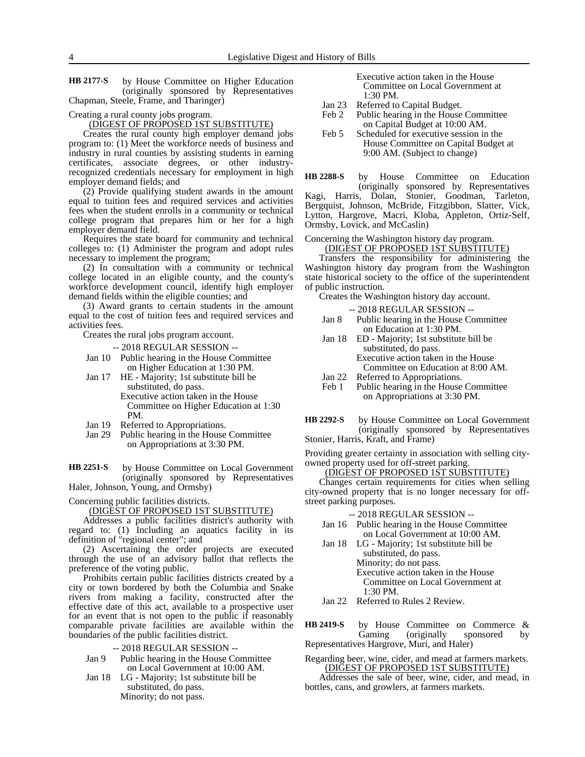by House Committee on Higher Education (originally sponsored by Representatives Chapman, Steele, Frame, and Tharinger) **HB 2177-S**

Creating a rural county jobs program.

(DIGEST OF PROPOSED 1ST SUBSTITUTE)

Creates the rural county high employer demand jobs program to: (1) Meet the workforce needs of business and industry in rural counties by assisting students in earning certificates, associate degrees, or other industryrecognized credentials necessary for employment in high employer demand fields; and

(2) Provide qualifying student awards in the amount equal to tuition fees and required services and activities fees when the student enrolls in a community or technical college program that prepares him or her for a high employer demand field.

Requires the state board for community and technical colleges to: (1) Administer the program and adopt rules necessary to implement the program;

(2) In consultation with a community or technical college located in an eligible county, and the county's workforce development council, identify high employer demand fields within the eligible counties; and

(3) Award grants to certain students in the amount equal to the cost of tuition fees and required services and activities fees.

Creates the rural jobs program account.

-- 2018 REGULAR SESSION --

- Jan 10 Public hearing in the House Committee on Higher Education at 1:30 PM.
- Jan 17 HE Majority; 1st substitute bill be substituted, do pass. Executive action taken in the House Committee on Higher Education at 1:30 PM.
- Jan 19 Referred to Appropriations.
- Jan 29 Public hearing in the House Committee on Appropriations at 3:30 PM.

by House Committee on Local Government (originally sponsored by Representatives Haler, Johnson, Young, and Ormsby) **HB 2251-S**

## Concerning public facilities districts.

(DIGEST OF PROPOSED 1ST SUBSTITUTE)

Addresses a public facilities district's authority with regard to: (1) Including an aquatics facility in its definition of "regional center"; and

(2) Ascertaining the order projects are executed through the use of an advisory ballot that reflects the preference of the voting public.

Prohibits certain public facilities districts created by a city or town bordered by both the Columbia and Snake rivers from making a facility, constructed after the effective date of this act, available to a prospective user for an event that is not open to the public if reasonably comparable private facilities are available within the boundaries of the public facilities district.

-- 2018 REGULAR SESSION --

- Jan 9 Public hearing in the House Committee on Local Government at 10:00 AM.
- Jan 18 LG Majority; 1st substitute bill be substituted, do pass. Minority; do not pass.

Executive action taken in the House Committee on Local Government at 1:30 PM.

- Jan 23 Referred to Capital Budget.
- Feb 2 Public hearing in the House Committee on Capital Budget at 10:00 AM.
- Feb 5 Scheduled for executive session in the House Committee on Capital Budget at 9:00 AM. (Subject to change)

by House Committee on Education (originally sponsored by Representatives **HB 2288-S**

Kagi, Harris, Dolan, Stonier, Goodman, Tarleton, Bergquist, Johnson, McBride, Fitzgibbon, Slatter, Vick, Lytton, Hargrove, Macri, Kloba, Appleton, Ortiz-Self, Ormsby, Lovick, and McCaslin)

#### Concerning the Washington history day program. (DIGEST OF PROPOSED 1ST SUBSTITUTE)

Transfers the responsibility for administering the Washington history day program from the Washington state historical society to the office of the superintendent of public instruction.

Creates the Washington history day account.

-- 2018 REGULAR SESSION --

- Jan 8 Public hearing in the House Committee on Education at 1:30 PM.
- Jan 18 ED Majority; 1st substitute bill be substituted, do pass. Executive action taken in the House Committee on Education at 8:00 AM.
- Jan 22 Referred to Appropriations.
- Feb 1 Public hearing in the House Committee on Appropriations at 3:30 PM.

by House Committee on Local Government (originally sponsored by Representatives Stonier, Harris, Kraft, and Frame) **HB 2292-S**

Providing greater certainty in association with selling cityowned property used for off-street parking.

## (DIGEST OF PROPOSED 1ST SUBSTITUTE)

Changes certain requirements for cities when selling city-owned property that is no longer necessary for offstreet parking purposes.

-- 2018 REGULAR SESSION --

- Jan 16 Public hearing in the House Committee on Local Government at 10:00 AM.
- Jan 18 LG Majority; 1st substitute bill be substituted, do pass. Minority; do not pass. Executive action taken in the House Committee on Local Government at 1:30 PM.
- Jan 22 Referred to Rules 2 Review.
- by House Committee on Commerce & Gaming (originally sponsored by Representatives Hargrove, Muri, and Haler) **HB 2419-S**
- Regarding beer, wine, cider, and mead at farmers markets. (DIGEST OF PROPOSED 1ST SUBSTITUTE)

Addresses the sale of beer, wine, cider, and mead, in bottles, cans, and growlers, at farmers markets.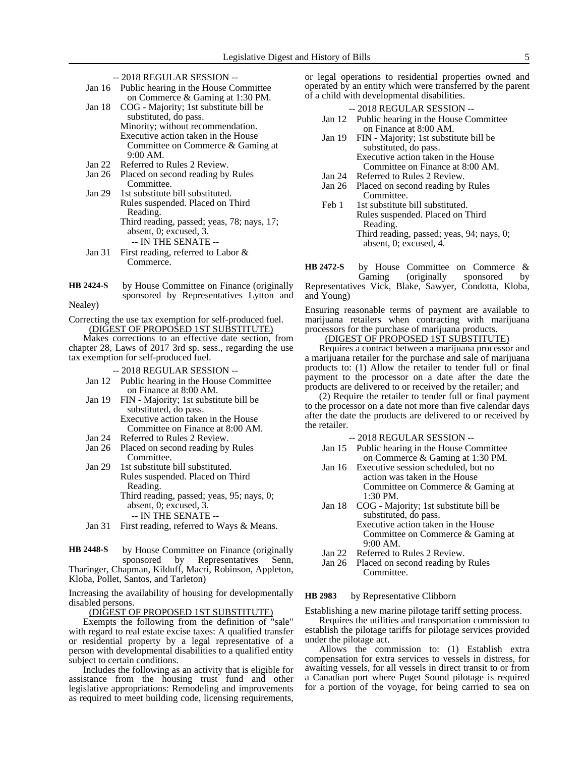- -- 2018 REGULAR SESSION --
- Jan 16 Public hearing in the House Committee on Commerce & Gaming at 1:30 PM.
- Jan 18 COG Majority; 1st substitute bill be substituted, do pass. Minority; without recommendation. Executive action taken in the House Committee on Commerce & Gaming at 9:00 AM.
- Jan 22 Referred to Rules 2 Review.<br>Jan 26 Placed on second reading by
- Placed on second reading by Rules Committee.
- Jan 29 1st substitute bill substituted. Rules suspended. Placed on Third Reading. Third reading, passed; yeas, 78; nays, 17; absent, 0; excused, 3. -- IN THE SENATE --
- Jan 31 First reading, referred to Labor & Commerce.
- by House Committee on Finance (originally sponsored by Representatives Lytton and **HB 2424-S**

Nealey)

Correcting the use tax exemption for self-produced fuel. (DIGEST OF PROPOSED 1ST SUBSTITUTE)

Makes corrections to an effective date section, from chapter 28, Laws of 2017 3rd sp. sess., regarding the use tax exemption for self-produced fuel.

-- 2018 REGULAR SESSION --

- Jan 12 Public hearing in the House Committee on Finance at 8:00 AM.
- Jan 19 FIN Majority; 1st substitute bill be substituted, do pass. Executive action taken in the House Committee on Finance at 8:00 AM.
- Jan 24 Referred to Rules 2 Review.
- Jan 26 Placed on second reading by Rules Committee.
- Jan 29 1st substitute bill substituted. Rules suspended. Placed on Third Reading. Third reading, passed; yeas, 95; nays, 0; absent, 0; excused, 3. -- IN THE SENATE --
- Jan 31 First reading, referred to Ways & Means.

by House Committee on Finance (originally sponsored by Representatives Senn, Tharinger, Chapman, Kilduff, Macri, Robinson, Appleton, Kloba, Pollet, Santos, and Tarleton) **HB 2448-S**

Increasing the availability of housing for developmentally disabled persons.

(DIGEST OF PROPOSED 1ST SUBSTITUTE)

Exempts the following from the definition of "sale" with regard to real estate excise taxes: A qualified transfer or residential property by a legal representative of a person with developmental disabilities to a qualified entity subject to certain conditions.

Includes the following as an activity that is eligible for assistance from the housing trust fund and other legislative appropriations: Remodeling and improvements as required to meet building code, licensing requirements,

or legal operations to residential properties owned and operated by an entity which were transferred by the parent of a child with developmental disabilities.

- -- 2018 REGULAR SESSION -- Jan 12 Public hearing in the House Committee on Finance at 8:00 AM.
- Jan 19 FIN Majority; 1st substitute bill be substituted, do pass. Executive action taken in the House Committee on Finance at 8:00 AM.
- Jan 24 Referred to Rules 2 Review.
- Jan 26 Placed on second reading by Rules Committee.
- Feb 1 1st substitute bill substituted. Rules suspended. Placed on Third Reading. Third reading, passed; yeas, 94; nays, 0; absent, 0; excused, 4.

by House Committee on Commerce & Gaming (originally sponsored by Representatives Vick, Blake, Sawyer, Condotta, Kloba, and Young) **HB 2472-S**

Ensuring reasonable terms of payment are available to marijuana retailers when contracting with marijuana processors for the purchase of marijuana products.

## (DIGEST OF PROPOSED 1ST SUBSTITUTE)

Requires a contract between a marijuana processor and a marijuana retailer for the purchase and sale of marijuana products to: (1) Allow the retailer to tender full or final payment to the processor on a date after the date the products are delivered to or received by the retailer; and

(2) Require the retailer to tender full or final payment to the processor on a date not more than five calendar days after the date the products are delivered to or received by the retailer.

- -- 2018 REGULAR SESSION --
- Jan 15 Public hearing in the House Committee on Commerce & Gaming at 1:30 PM.
- Jan 16 Executive session scheduled, but no action was taken in the House Committee on Commerce & Gaming at 1:30 PM.
- Jan 18 COG Majority; 1st substitute bill be substituted, do pass. Executive action taken in the House Committee on Commerce & Gaming at 9:00 AM.
- Jan 22 Referred to Rules 2 Review.
- Jan 26 Placed on second reading by Rules Committee.

#### by Representative Clibborn **HB 2983**

Establishing a new marine pilotage tariff setting process.

Requires the utilities and transportation commission to establish the pilotage tariffs for pilotage services provided under the pilotage act.

Allows the commission to: (1) Establish extra compensation for extra services to vessels in distress, for awaiting vessels, for all vessels in direct transit to or from a Canadian port where Puget Sound pilotage is required for a portion of the voyage, for being carried to sea on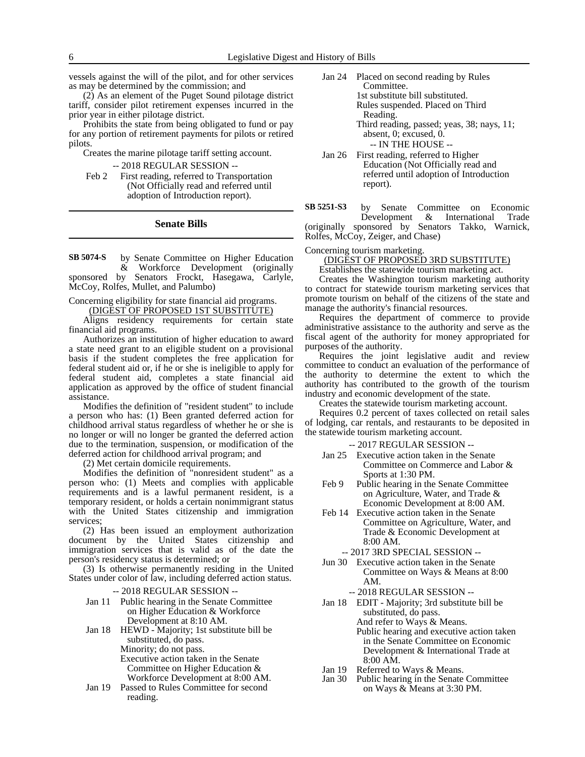vessels against the will of the pilot, and for other services as may be determined by the commission; and

(2) As an element of the Puget Sound pilotage district tariff, consider pilot retirement expenses incurred in the prior year in either pilotage district.

Prohibits the state from being obligated to fund or pay for any portion of retirement payments for pilots or retired pilots.

Creates the marine pilotage tariff setting account.

-- 2018 REGULAR SESSION --

Feb 2 First reading, referred to Transportation (Not Officially read and referred until adoption of Introduction report).

#### **Senate Bills**

by Senate Committee on Higher Education & Workforce Development (originally sponsored by Senators Frockt, Hasegawa, Carlyle, McCoy, Rolfes, Mullet, and Palumbo) **SB 5074-S**

#### Concerning eligibility for state financial aid programs.

(DIGEST OF PROPOSED 1ST SUBSTITUTE)

Aligns residency requirements for certain state financial aid programs.

Authorizes an institution of higher education to award a state need grant to an eligible student on a provisional basis if the student completes the free application for federal student aid or, if he or she is ineligible to apply for federal student aid, completes a state financial aid application as approved by the office of student financial assistance.

Modifies the definition of "resident student" to include a person who has: (1) Been granted deferred action for childhood arrival status regardless of whether he or she is no longer or will no longer be granted the deferred action due to the termination, suspension, or modification of the deferred action for childhood arrival program; and

(2) Met certain domicile requirements.

Modifies the definition of "nonresident student" as a person who: (1) Meets and complies with applicable requirements and is a lawful permanent resident, is a temporary resident, or holds a certain nonimmigrant status with the United States citizenship and immigration services;

(2) Has been issued an employment authorization document by the United States citizenship and immigration services that is valid as of the date the person's residency status is determined; or

(3) Is otherwise permanently residing in the United States under color of law, including deferred action status.

-- 2018 REGULAR SESSION --

Jan 11 Public hearing in the Senate Committee on Higher Education & Workforce Development at 8:10 AM.

Jan 18 HEWD - Majority; 1st substitute bill be substituted, do pass. Minority; do not pass. Executive action taken in the Senate Committee on Higher Education & Workforce Development at 8:00 AM.

Jan 19 Passed to Rules Committee for second reading.

- Jan 24 Placed on second reading by Rules Committee. 1st substitute bill substituted. Rules suspended. Placed on Third Reading. Third reading, passed; yeas, 38; nays, 11; absent, 0; excused, 0. -- IN THE HOUSE --
- Jan 26 First reading, referred to Higher Education (Not Officially read and referred until adoption of Introduction report).
- by Senate Committee on Economic Development & International Trade (originally sponsored by Senators Takko, Warnick, **SB 5251-S3**

Rolfes, McCoy, Zeiger, and Chase)

Concerning tourism marketing.

(DIGEST OF PROPOSED 3RD SUBSTITUTE)

Establishes the statewide tourism marketing act.

Creates the Washington tourism marketing authority to contract for statewide tourism marketing services that promote tourism on behalf of the citizens of the state and manage the authority's financial resources.

Requires the department of commerce to provide administrative assistance to the authority and serve as the fiscal agent of the authority for money appropriated for purposes of the authority.

Requires the joint legislative audit and review committee to conduct an evaluation of the performance of the authority to determine the extent to which the authority has contributed to the growth of the tourism industry and economic development of the state.

Creates the statewide tourism marketing account.

Requires 0.2 percent of taxes collected on retail sales of lodging, car rentals, and restaurants to be deposited in the statewide tourism marketing account.

-- 2017 REGULAR SESSION --

- Jan 25 Executive action taken in the Senate Committee on Commerce and Labor & Sports at 1:30 PM.
- Feb 9 Public hearing in the Senate Committee on Agriculture, Water, and Trade & Economic Development at 8:00 AM.
- Feb 14 Executive action taken in the Senate Committee on Agriculture, Water, and Trade & Economic Development at 8:00 AM.

-- 2017 3RD SPECIAL SESSION --

Jun 30 Executive action taken in the Senate Committee on Ways & Means at 8:00 AM.

-- 2018 REGULAR SESSION --

Jan 18 EDIT - Majority; 3rd substitute bill be substituted, do pass.

And refer to Ways & Means. Public hearing and executive action taken in the Senate Committee on Economic Development & International Trade at 8:00 AM.

- Jan 19 Referred to Ways & Means.
- Jan 30 Public hearing in the Senate Committee on Ways & Means at 3:30 PM.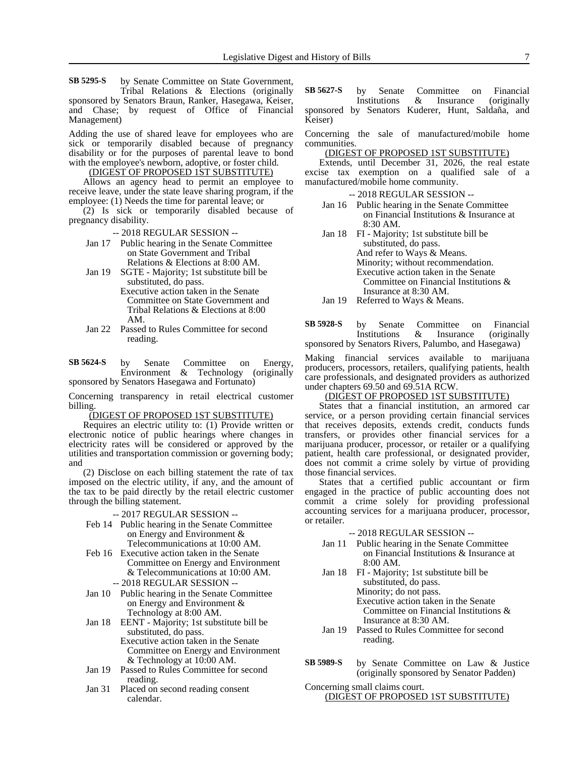by Senate Committee on State Government, Tribal Relations & Elections (originally sponsored by Senators Braun, Ranker, Hasegawa, Keiser, and Chase; by request of Office of Financial **SB 5295-S**

Management)

Adding the use of shared leave for employees who are sick or temporarily disabled because of pregnancy disability or for the purposes of parental leave to bond with the employee's newborn, adoptive, or foster child.

(DIGEST OF PROPOSED 1ST SUBSTITUTE)

Allows an agency head to permit an employee to receive leave, under the state leave sharing program, if the employee: (1) Needs the time for parental leave; or

(2) Is sick or temporarily disabled because of pregnancy disability.

-- 2018 REGULAR SESSION --

- Jan 17 Public hearing in the Senate Committee on State Government and Tribal Relations & Elections at 8:00 AM.
- Jan 19 SGTE Majority; 1st substitute bill be substituted, do pass.
	- Executive action taken in the Senate Committee on State Government and Tribal Relations & Elections at 8:00 AM.
- Jan 22 Passed to Rules Committee for second reading.

by Senate Committee on Energy, Environment & Technology (originally sponsored by Senators Hasegawa and Fortunato) **SB 5624-S**

Concerning transparency in retail electrical customer billing.

#### (DIGEST OF PROPOSED 1ST SUBSTITUTE)

Requires an electric utility to: (1) Provide written or electronic notice of public hearings where changes in electricity rates will be considered or approved by the utilities and transportation commission or governing body; and

(2) Disclose on each billing statement the rate of tax imposed on the electric utility, if any, and the amount of the tax to be paid directly by the retail electric customer through the billing statement.

- -- 2017 REGULAR SESSION --
- Feb 14 Public hearing in the Senate Committee on Energy and Environment & Telecommunications at 10:00 AM.
- Feb 16 Executive action taken in the Senate Committee on Energy and Environment & Telecommunications at 10:00 AM.
- -- 2018 REGULAR SESSION -- Jan 10 Public hearing in the Senate Committee on Energy and Environment &
- Technology at 8:00 AM. Jan 18 EENT - Majority; 1st substitute bill be substituted, do pass. Executive action taken in the Senate Committee on Energy and Environment
- & Technology at 10:00 AM. Jan 19 Passed to Rules Committee for second
- reading.
- Jan 31 Placed on second reading consent calendar.

by Senate Committee on Financial Institutions & Insurance (originally sponsored by Senators Kuderer, Hunt, Saldaña, and Keiser) **SB 5627-S**

Concerning the sale of manufactured/mobile home communities.

(DIGEST OF PROPOSED 1ST SUBSTITUTE)

Extends, until December 31, 2026, the real estate excise tax exemption on a qualified sale of a manufactured/mobile home community.

- -- 2018 REGULAR SESSION --
- Jan 16 Public hearing in the Senate Committee on Financial Institutions & Insurance at 8:30 AM.
- Jan 18 FI Majority; 1st substitute bill be substituted, do pass. And refer to Ways & Means. Minority; without recommendation. Executive action taken in the Senate Committee on Financial Institutions & Insurance at 8:30 AM.

Jan 19 Referred to Ways & Means.

by Senate Committee on Financial Institutions & Insurance (originally sponsored by Senators Rivers, Palumbo, and Hasegawa) **SB 5928-S**

Making financial services available to marijuana producers, processors, retailers, qualifying patients, health care professionals, and designated providers as authorized under chapters 69.50 and 69.51A RCW.

## (DIGEST OF PROPOSED 1ST SUBSTITUTE)

States that a financial institution, an armored car service, or a person providing certain financial services that receives deposits, extends credit, conducts funds transfers, or provides other financial services for a marijuana producer, processor, or retailer or a qualifying patient, health care professional, or designated provider, does not commit a crime solely by virtue of providing those financial services.

States that a certified public accountant or firm engaged in the practice of public accounting does not commit a crime solely for providing professional accounting services for a marijuana producer, processor, or retailer.

-- 2018 REGULAR SESSION --

- Jan 11 Public hearing in the Senate Committee on Financial Institutions & Insurance at 8:00 AM.
- Jan 18 FI Majority; 1st substitute bill be substituted, do pass. Minority; do not pass. Executive action taken in the Senate Committee on Financial Institutions &
	- Insurance at 8:30 AM.
- Jan 19 Passed to Rules Committee for second reading.
- by Senate Committee on Law & Justice (originally sponsored by Senator Padden) **SB 5989-S**

Concerning small claims court.

## (DIGEST OF PROPOSED 1ST SUBSTITUTE)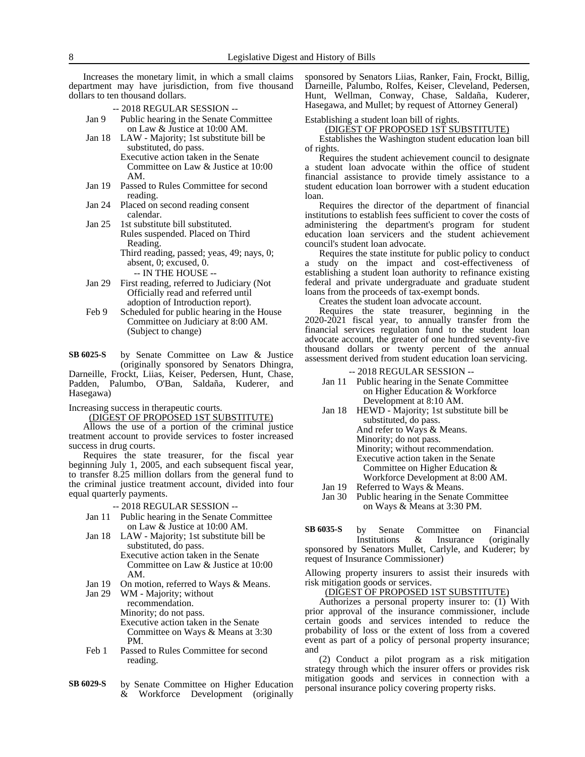Increases the monetary limit, in which a small claims department may have jurisdiction, from five thousand dollars to ten thousand dollars.

- -- 2018 REGULAR SESSION -- Jan 9 Public hearing in the Senate Committee on Law & Justice at 10:00 AM.
- Jan 18 LAW Majority; 1st substitute bill be substituted, do pass. Executive action taken in the Senate Committee on Law & Justice at 10:00 AM.
- Jan 19 Passed to Rules Committee for second reading.
- Jan 24 Placed on second reading consent calendar.
- Jan 25 1st substitute bill substituted. Rules suspended. Placed on Third Reading. Third reading, passed; yeas, 49; nays, 0; absent, 0; excused, 0.

-- IN THE HOUSE --

- Jan 29 First reading, referred to Judiciary (Not Officially read and referred until adoption of Introduction report).
- Feb 9 Scheduled for public hearing in the House Committee on Judiciary at 8:00 AM. (Subject to change)
- by Senate Committee on Law & Justice (originally sponsored by Senators Dhingra, Darneille, Frockt, Liias, Keiser, Pedersen, Hunt, Chase, **SB 6025-S**

Padden, Palumbo, O'Ban, Saldaña, Kuderer, and Hasegawa)

Increasing success in therapeutic courts.

(DIGEST OF PROPOSED 1ST SUBSTITUTE)

Allows the use of a portion of the criminal justice treatment account to provide services to foster increased success in drug courts.

Requires the state treasurer, for the fiscal year beginning July 1, 2005, and each subsequent fiscal year, to transfer 8.25 million dollars from the general fund to the criminal justice treatment account, divided into four equal quarterly payments.

#### -- 2018 REGULAR SESSION --

- Jan 11 Public hearing in the Senate Committee on Law & Justice at 10:00 AM.
- Jan 18 LAW Majority; 1st substitute bill be substituted, do pass. Executive action taken in the Senate Committee on Law & Justice at 10:00
- AM.
- Jan 19 On motion, referred to Ways & Means.<br>Jan 29 WM Maiority: without WM - Majority; without recommendation. Minority; do not pass. Executive action taken in the Senate Committee on Ways & Means at 3:30 PM.
- Feb 1 Passed to Rules Committee for second reading.
- by Senate Committee on Higher Education & Workforce Development (originally **SB 6029-S**

sponsored by Senators Liias, Ranker, Fain, Frockt, Billig, Darneille, Palumbo, Rolfes, Keiser, Cleveland, Pedersen, Hunt, Wellman, Conway, Chase, Saldaña, Kuderer, Hasegawa, and Mullet; by request of Attorney General)

Establishing a student loan bill of rights.

### (DIGEST OF PROPOSED 1ST SUBSTITUTE)

Establishes the Washington student education loan bill of rights.

Requires the student achievement council to designate a student loan advocate within the office of student financial assistance to provide timely assistance to a student education loan borrower with a student education loan.

Requires the director of the department of financial institutions to establish fees sufficient to cover the costs of administering the department's program for student education loan servicers and the student achievement council's student loan advocate.

Requires the state institute for public policy to conduct a study on the impact and cost-effectiveness of establishing a student loan authority to refinance existing federal and private undergraduate and graduate student loans from the proceeds of tax-exempt bonds.

Creates the student loan advocate account.

Requires the state treasurer, beginning in the 2020-2021 fiscal year, to annually transfer from the financial services regulation fund to the student loan advocate account, the greater of one hundred seventy-five thousand dollars or twenty percent of the annual assessment derived from student education loan servicing.

#### -- 2018 REGULAR SESSION --

- Jan 11 Public hearing in the Senate Committee on Higher Education & Workforce Development at 8:10 AM.
- Jan 18 HEWD Majority; 1st substitute bill be substituted, do pass.

And refer to Ways & Means.

Minority; do not pass.

Minority; without recommendation. Executive action taken in the Senate Committee on Higher Education &

- Workforce Development at 8:00 AM. Jan 19 Referred to Ways & Means.
- Jan 30 Public hearing in the Senate Committee on Ways & Means at 3:30 PM.

by Senate Committee on Financial Institutions & Insurance (originally sponsored by Senators Mullet, Carlyle, and Kuderer; by request of Insurance Commissioner) **SB 6035-S**

Allowing property insurers to assist their insureds with risk mitigation goods or services.

#### (DIGEST OF PROPOSED 1ST SUBSTITUTE)

Authorizes a personal property insurer to: (1) With prior approval of the insurance commissioner, include certain goods and services intended to reduce the probability of loss or the extent of loss from a covered event as part of a policy of personal property insurance; and

(2) Conduct a pilot program as a risk mitigation strategy through which the insurer offers or provides risk mitigation goods and services in connection with a personal insurance policy covering property risks.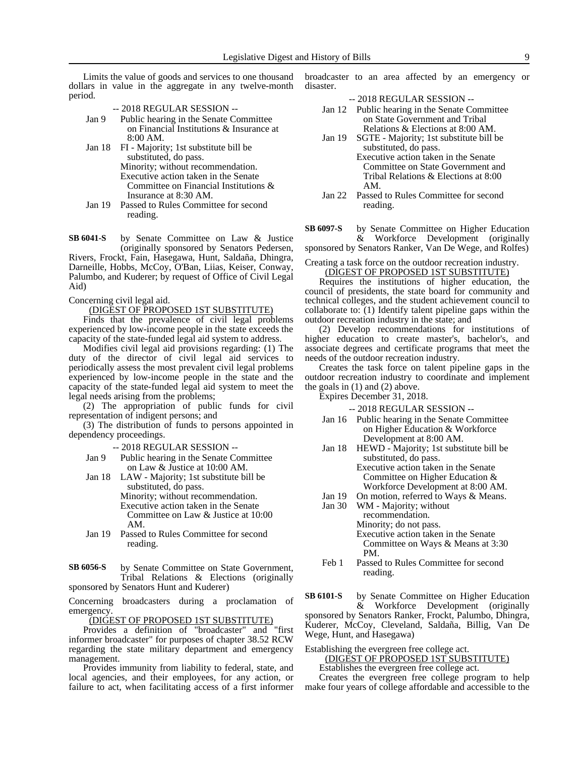Limits the value of goods and services to one thousand dollars in value in the aggregate in any twelve-month period.

- -- 2018 REGULAR SESSION --
- Jan 9 Public hearing in the Senate Committee on Financial Institutions & Insurance at 8:00 AM.
- Jan 18 FI Majority; 1st substitute bill be substituted, do pass. Minority; without recommendation. Executive action taken in the Senate Committee on Financial Institutions & Insurance at 8:30 AM.
- Jan 19 Passed to Rules Committee for second reading.
- by Senate Committee on Law & Justice (originally sponsored by Senators Pedersen, Rivers, Frockt, Fain, Hasegawa, Hunt, Saldaña, Dhingra, **SB 6041-S**

Darneille, Hobbs, McCoy, O'Ban, Liias, Keiser, Conway, Palumbo, and Kuderer; by request of Office of Civil Legal Aid)

Concerning civil legal aid.

#### (DIGEST OF PROPOSED 1ST SUBSTITUTE)

Finds that the prevalence of civil legal problems experienced by low-income people in the state exceeds the capacity of the state-funded legal aid system to address.

Modifies civil legal aid provisions regarding: (1) The duty of the director of civil legal aid services to periodically assess the most prevalent civil legal problems experienced by low-income people in the state and the capacity of the state-funded legal aid system to meet the legal needs arising from the problems;

(2) The appropriation of public funds for civil representation of indigent persons; and

(3) The distribution of funds to persons appointed in dependency proceedings.

-- 2018 REGULAR SESSION --

- Jan 9 Public hearing in the Senate Committee on Law & Justice at 10:00 AM.
- Jan 18 LAW Majority; 1st substitute bill be substituted, do pass. Minority; without recommendation. Executive action taken in the Senate Committee on Law & Justice at 10:00 AM.
- Jan 19 Passed to Rules Committee for second reading.

by Senate Committee on State Government, Tribal Relations & Elections (originally sponsored by Senators Hunt and Kuderer) **SB 6056-S**

Concerning broadcasters during a proclamation of emergency.

(DIGEST OF PROPOSED 1ST SUBSTITUTE)

Provides a definition of "broadcaster" and "first informer broadcaster" for purposes of chapter 38.52 RCW regarding the state military department and emergency management.

Provides immunity from liability to federal, state, and local agencies, and their employees, for any action, or failure to act, when facilitating access of a first informer broadcaster to an area affected by an emergency or disaster.

-- 2018 REGULAR SESSION --

- Jan 12 Public hearing in the Senate Committee on State Government and Tribal Relations & Elections at 8:00 AM.
- Jan 19 SGTE Majority; 1st substitute bill be substituted, do pass.
	- Executive action taken in the Senate Committee on State Government and Tribal Relations & Elections at 8:00 AM.
- Jan 22 Passed to Rules Committee for second reading.

by Senate Committee on Higher Education<br>& Workforce Development (originally Workforce Development (originally sponsored by Senators Ranker, Van De Wege, and Rolfes) **SB 6097-S**

Creating a task force on the outdoor recreation industry.

#### (DIGEST OF PROPOSED 1ST SUBSTITUTE)

Requires the institutions of higher education, the council of presidents, the state board for community and technical colleges, and the student achievement council to collaborate to: (1) Identify talent pipeline gaps within the outdoor recreation industry in the state; and

(2) Develop recommendations for institutions of higher education to create master's, bachelor's, and associate degrees and certificate programs that meet the needs of the outdoor recreation industry.

Creates the task force on talent pipeline gaps in the outdoor recreation industry to coordinate and implement the goals in (1) and (2) above.

Expires December 31, 2018.

-- 2018 REGULAR SESSION --

- Jan 16 Public hearing in the Senate Committee on Higher Education & Workforce Development at 8:00 AM.
- Jan 18 HEWD Majority; 1st substitute bill be substituted, do pass. Executive action taken in the Senate Committee on Higher Education &
- Workforce Development at 8:00 AM. Jan 19 On motion, referred to Ways & Means.
- Jan 30 WM Majority; without recommendation. Minority; do not pass. Executive action taken in the Senate Committee on Ways & Means at 3:30 PM.
- Feb 1 Passed to Rules Committee for second reading.

by Senate Committee on Higher Education & Workforce Development (originally sponsored by Senators Ranker, Frockt, Palumbo, Dhingra, Kuderer, McCoy, Cleveland, Saldaña, Billig, Van De **SB 6101-S**

Wege, Hunt, and Hasegawa)

Establishing the evergreen free college act. (DIGEST OF PROPOSED 1ST SUBSTITUTE)

Establishes the evergreen free college act.

Creates the evergreen free college program to help make four years of college affordable and accessible to the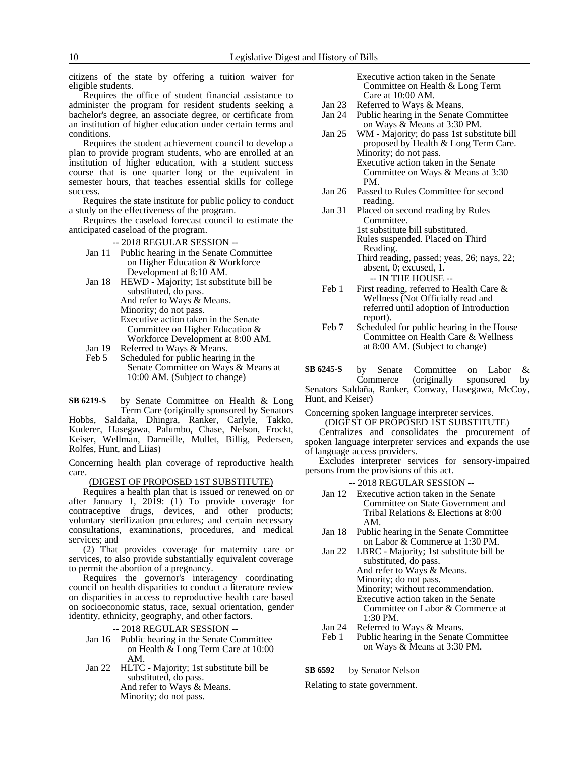citizens of the state by offering a tuition waiver for eligible students.

Requires the office of student financial assistance to administer the program for resident students seeking a bachelor's degree, an associate degree, or certificate from an institution of higher education under certain terms and conditions.

Requires the student achievement council to develop a plan to provide program students, who are enrolled at an institution of higher education, with a student success course that is one quarter long or the equivalent in semester hours, that teaches essential skills for college success.

Requires the state institute for public policy to conduct a study on the effectiveness of the program.

Requires the caseload forecast council to estimate the anticipated caseload of the program.

-- 2018 REGULAR SESSION --

- Jan 11 Public hearing in the Senate Committee on Higher Education & Workforce Development at 8:10 AM.
- Jan 18 HEWD Majority; 1st substitute bill be substituted, do pass. And refer to Ways & Means. Minority; do not pass. Executive action taken in the Senate Committee on Higher Education & Workforce Development at 8:00 AM.
- Jan 19 Referred to Ways & Means.<br>Feb 5 Scheduled for public hearing
- Scheduled for public hearing in the Senate Committee on Ways & Means at 10:00 AM. (Subject to change)

by Senate Committee on Health & Long Term Care (originally sponsored by Senators **SB 6219-S**

Hobbs, Saldaña, Dhingra, Ranker, Carlyle, Takko, Kuderer, Hasegawa, Palumbo, Chase, Nelson, Frockt, Keiser, Wellman, Darneille, Mullet, Billig, Pedersen, Rolfes, Hunt, and Liias)

Concerning health plan coverage of reproductive health care.

#### (DIGEST OF PROPOSED 1ST SUBSTITUTE)

Requires a health plan that is issued or renewed on or after January 1, 2019: (1) To provide coverage for contraceptive drugs, devices, and other products; voluntary sterilization procedures; and certain necessary consultations, examinations, procedures, and medical services; and

(2) That provides coverage for maternity care or services, to also provide substantially equivalent coverage to permit the abortion of a pregnancy.

Requires the governor's interagency coordinating council on health disparities to conduct a literature review on disparities in access to reproductive health care based on socioeconomic status, race, sexual orientation, gender identity, ethnicity, geography, and other factors.

#### -- 2018 REGULAR SESSION --

- Jan 16 Public hearing in the Senate Committee on Health & Long Term Care at 10:00 AM.
- Jan 22 HLTC Majority; 1st substitute bill be substituted, do pass. And refer to Ways & Means. Minority; do not pass.

Executive action taken in the Senate Committee on Health & Long Term Care at 10:00 AM.

- Jan 23 Referred to Ways & Means.
- Jan 24 Public hearing in the Senate Committee on Ways & Means at 3:30 PM.
- Jan 25 WM Majority; do pass 1st substitute bill proposed by Health & Long Term Care. Minority; do not pass. Executive action taken in the Senate Committee on Ways & Means at 3:30 PM.
- Jan 26 Passed to Rules Committee for second reading.
- Jan 31 Placed on second reading by Rules Committee. 1st substitute bill substituted. Rules suspended. Placed on Third Reading.
	- Third reading, passed; yeas, 26; nays, 22; absent, 0; excused, 1. -- IN THE HOUSE --
- Feb 1 First reading, referred to Health Care & Wellness (Not Officially read and referred until adoption of Introduction report).
- Feb 7 Scheduled for public hearing in the House Committee on Health Care & Wellness at 8:00 AM. (Subject to change)

by Senate Committee on Labor & Commerce (originally sponsored by Senators Saldaña, Ranker, Conway, Hasegawa, McCoy, Hunt, and Keiser) **SB 6245-S**

Concerning spoken language interpreter services. (DIGEST OF PROPOSED 1ST SUBSTITUTE)

Centralizes and consolidates the procurement of spoken language interpreter services and expands the use of language access providers.

Excludes interpreter services for sensory-impaired persons from the provisions of this act.

- -- 2018 REGULAR SESSION --
- Jan 12 Executive action taken in the Senate Committee on State Government and Tribal Relations & Elections at 8:00 AM.
- Jan 18 Public hearing in the Senate Committee on Labor & Commerce at 1:30 PM.
- Jan 22 LBRC Majority; 1st substitute bill be substituted, do pass. And refer to Ways & Means.
	- Minority; do not pass.
	- Minority; without recommendation.
	- Executive action taken in the Senate Committee on Labor & Commerce at 1:30 PM.
- Jan 24 Referred to Ways & Means.
- Feb 1 Public hearing in the Senate Committee on Ways & Means at 3:30 PM.

#### by Senator Nelson **SB 6592**

Relating to state government.